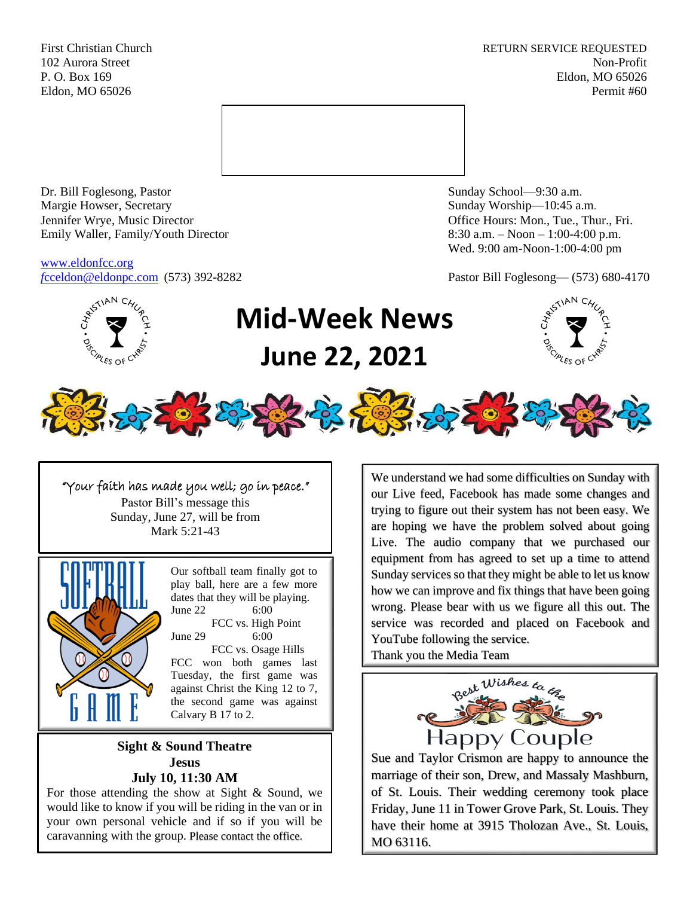First Christian Church **RETURN SERVICE REQUESTED** 102 Aurora Street Non-Profit P. O. Box 169 Eldon, MO 65026 Eldon, MO 65026 Permit #60



Dr. Bill Foglesong, Pastor Sunday School—9:30 a.m.<br>
Margie Howser, Secretary Sunday Worship—10:45 a. Jennifer Wrye, Music Director Office Hours: Mon., Tue., Thur., Fri. Emily Waller, Family/Youth Director 8:30 a.m. – Noon – 1:00-4:00 p.m.

[www.eldonfcc.org](http://www.eldonfcc.org/)

Sunday Worship—10:45 a.m. Wed. 9:00 am-Noon-1:00-4:00 pm

*f*[cceldon@eldonpc.com](mailto:fcceldon@eldonpc.com) (573) 392-8282 Pastor Bill Foglesong— (573) 680-4170



## **Mid-Week News June 22, 2021**





"Your faith has made you well; go in peace." Pastor Bill's message this Sunday, June 27, will be from Mark 5:21-43



Our softball team finally got to play ball, here are a few more dates that they will be playing. June 22 6:00 FCC vs. High Point June 29 6:00 FCC vs. Osage Hills FCC won both games last Tuesday, the first game was against Christ the King 12 to 7, the second game was against Calvary B 17 to 2.

**Sight & Sound Theatre Jesus July 10, 11:30 AM**

For those attending the show at Sight & Sound, we would like to know if you will be riding in the van or in your own personal vehicle and if so if you will be caravanning with the group. Please contact the office.

We understand we had some difficulties on Sunday with our Live feed, Facebook has made some changes and trying to figure out their system has not been easy. We are hoping we have the problem solved about going Live. The audio company that we purchased our equipment from has agreed to set up a time to attend Sunday services so that they might be able to let us know how we can improve and fix things that have been going wrong. Please bear with us we figure all this out. The service was recorded and placed on Facebook and YouTube following the service. Thank you the Media Team

Happy Couple

Sue and Taylor Crismon are happy to announce the marriage of their son, Drew, and Massaly Mashburn, of St. Louis. Their wedding ceremony took place Friday, June 11 in Tower Grove Park, St. Louis. They have their home at 3915 Tholozan Ave., St. Louis, MO 63116.